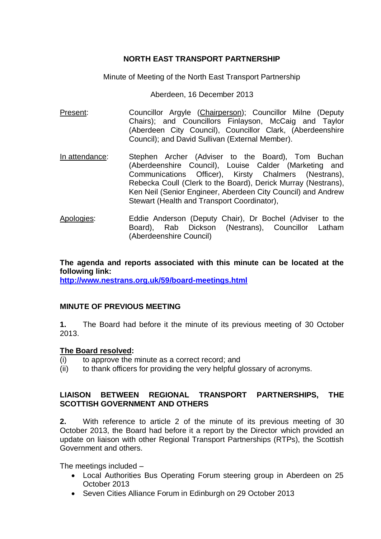## **NORTH EAST TRANSPORT PARTNERSHIP**

Minute of Meeting of the North East Transport Partnership

Aberdeen, 16 December 2013

- Present: Councillor Argyle (Chairperson); Councillor Milne (Deputy Chairs); and Councillors Finlayson, McCaig and Taylor (Aberdeen City Council), Councillor Clark, (Aberdeenshire Council); and David Sullivan (External Member).
- In attendance: Stephen Archer (Adviser to the Board), Tom Buchan (Aberdeenshire Council), Louise Calder (Marketing and Communications Officer), Kirsty Chalmers (Nestrans), Rebecka Coull (Clerk to the Board), Derick Murray (Nestrans), Ken Neil (Senior Engineer, Aberdeen City Council) and Andrew Stewart (Health and Transport Coordinator),
- Apologies: Eddie Anderson (Deputy Chair), Dr Bochel (Adviser to the Board), Rab Dickson (Nestrans), Councillor Latham (Aberdeenshire Council)

**The agenda and reports associated with this minute can be located at the following link: <http://www.nestrans.org.uk/59/board-meetings.html>**

# **MINUTE OF PREVIOUS MEETING**

**1.** The Board had before it the minute of its previous meeting of 30 October 2013.

### **The Board resolved:**

- (i) to approve the minute as a correct record; and
- (ii) to thank officers for providing the very helpful glossary of acronyms.

### **LIAISON BETWEEN REGIONAL TRANSPORT PARTNERSHIPS, THE SCOTTISH GOVERNMENT AND OTHERS**

**2.** With reference to article 2 of the minute of its previous meeting of 30 October 2013, the Board had before it a report by the Director which provided an update on liaison with other Regional Transport Partnerships (RTPs), the Scottish Government and others.

The meetings included –

- Local Authorities Bus Operating Forum steering group in Aberdeen on 25 October 2013
- Seven Cities Alliance Forum in Edinburgh on 29 October 2013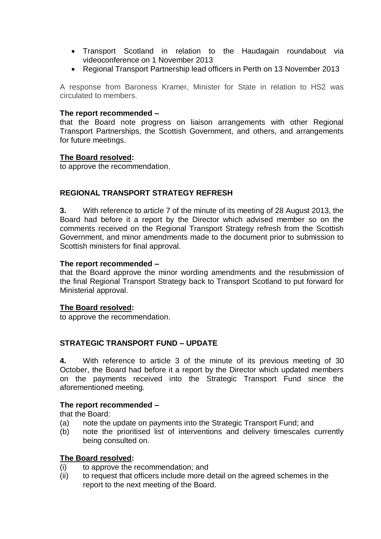- Transport Scotland in relation to the Haudagain roundabout via videoconference on 1 November 2013
- Regional Transport Partnership lead officers in Perth on 13 November 2013

A response from Baroness Kramer, Minister for State in relation to HS2 was circulated to members.

#### **The report recommended –**

that the Board note progress on liaison arrangements with other Regional Transport Partnerships, the Scottish Government, and others, and arrangements for future meetings.

#### **The Board resolved:**

to approve the recommendation.

### **REGIONAL TRANSPORT STRATEGY REFRESH**

**3.** With reference to article 7 of the minute of its meeting of 28 August 2013, the Board had before it a report by the Director which advised member so on the comments received on the Regional Transport Strategy refresh from the Scottish Government, and minor amendments made to the document prior to submission to Scottish ministers for final approval.

#### **The report recommended –**

that the Board approve the minor wording amendments and the resubmission of the final Regional Transport Strategy back to Transport Scotland to put forward for Ministerial approval.

#### **The Board resolved:**

to approve the recommendation.

### **STRATEGIC TRANSPORT FUND – UPDATE**

**4.** With reference to article 3 of the minute of its previous meeting of 30 October, the Board had before it a report by the Director which updated members on the payments received into the Strategic Transport Fund since the aforementioned meeting.

### **The report recommended –**

that the Board:

- (a) note the update on payments into the Strategic Transport Fund; and
- (b) note the prioritised list of interventions and delivery timescales currently being consulted on.

### **The Board resolved:**

- (i) to approve the recommendation; and
- (ii) to request that officers include more detail on the agreed schemes in the report to the next meeting of the Board.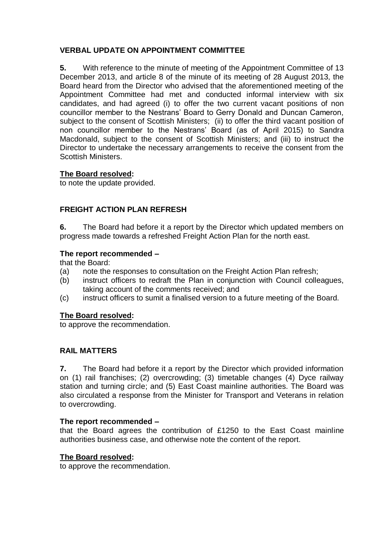# **VERBAL UPDATE ON APPOINTMENT COMMITTEE**

**5.** With reference to the minute of meeting of the Appointment Committee of 13 December 2013, and article 8 of the minute of its meeting of 28 August 2013, the Board heard from the Director who advised that the aforementioned meeting of the Appointment Committee had met and conducted informal interview with six candidates, and had agreed (i) to offer the two current vacant positions of non councillor member to the Nestrans' Board to Gerry Donald and Duncan Cameron, subject to the consent of Scottish Ministers; (ii) to offer the third vacant position of non councillor member to the Nestrans' Board (as of April 2015) to Sandra Macdonald, subject to the consent of Scottish Ministers; and (iii) to instruct the Director to undertake the necessary arrangements to receive the consent from the Scottish Ministers.

# **The Board resolved:**

to note the update provided.

# **FREIGHT ACTION PLAN REFRESH**

**6.** The Board had before it a report by the Director which updated members on progress made towards a refreshed Freight Action Plan for the north east.

### **The report recommended –**

that the Board:

- (a) note the responses to consultation on the Freight Action Plan refresh;
- (b) instruct officers to redraft the Plan in conjunction with Council colleagues, taking account of the comments received; and
- (c) instruct officers to sumit a finalised version to a future meeting of the Board.

### **The Board resolved:**

to approve the recommendation.

# **RAIL MATTERS**

**7.** The Board had before it a report by the Director which provided information on (1) rail franchises; (2) overcrowding; (3) timetable changes (4) Dyce railway station and turning circle; and (5) East Coast mainline authorities. The Board was also circulated a response from the Minister for Transport and Veterans in relation to overcrowding.

### **The report recommended –**

that the Board agrees the contribution of £1250 to the East Coast mainline authorities business case, and otherwise note the content of the report.

### **The Board resolved:**

to approve the recommendation.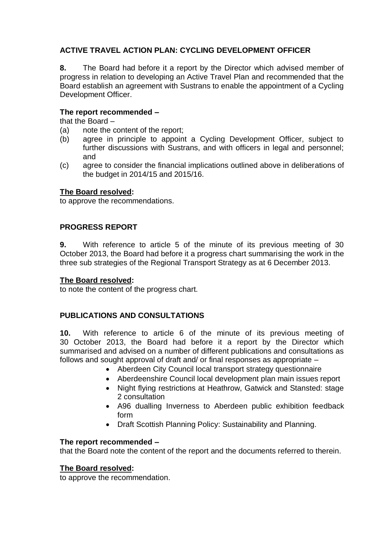# **ACTIVE TRAVEL ACTION PLAN: CYCLING DEVELOPMENT OFFICER**

**8.** The Board had before it a report by the Director which advised member of progress in relation to developing an Active Travel Plan and recommended that the Board establish an agreement with Sustrans to enable the appointment of a Cycling Development Officer.

## **The report recommended –**

that the Board –

- (a) note the content of the report;
- (b) agree in principle to appoint a Cycling Development Officer, subject to further discussions with Sustrans, and with officers in legal and personnel; and
- (c) agree to consider the financial implications outlined above in deliberations of the budget in 2014/15 and 2015/16.

### **The Board resolved:**

to approve the recommendations.

### **PROGRESS REPORT**

**9.** With reference to article 5 of the minute of its previous meeting of 30 October 2013, the Board had before it a progress chart summarising the work in the three sub strategies of the Regional Transport Strategy as at 6 December 2013.

### **The Board resolved:**

to note the content of the progress chart.

# **PUBLICATIONS AND CONSULTATIONS**

**10.** With reference to article 6 of the minute of its previous meeting of 30 October 2013, the Board had before it a report by the Director which summarised and advised on a number of different publications and consultations as follows and sought approval of draft and/ or final responses as appropriate –

- Aberdeen City Council local transport strategy questionnaire
- Aberdeenshire Council local development plan main issues report
- Night flying restrictions at Heathrow, Gatwick and Stansted: stage 2 consultation
- A96 dualling Inverness to Aberdeen public exhibition feedback form
- Draft Scottish Planning Policy: Sustainability and Planning.

### **The report recommended –**

that the Board note the content of the report and the documents referred to therein.

### **The Board resolved:**

to approve the recommendation.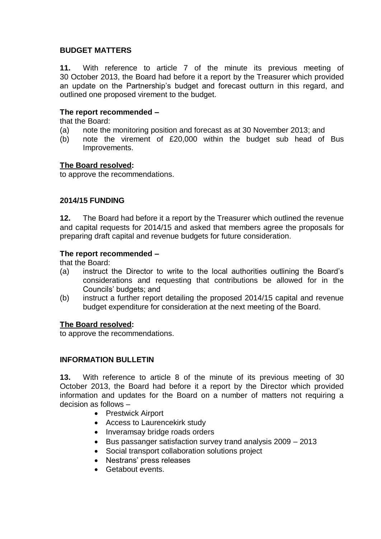# **BUDGET MATTERS**

**11.** With reference to article 7 of the minute its previous meeting of 30 October 2013, the Board had before it a report by the Treasurer which provided an update on the Partnership's budget and forecast outturn in this regard, and outlined one proposed virement to the budget.

### **The report recommended –**

that the Board:

- (a) note the monitoring position and forecast as at 30 November 2013; and
- (b) note the virement of £20,000 within the budget sub head of Bus Improvements.

### **The Board resolved:**

to approve the recommendations.

### **2014/15 FUNDING**

**12.** The Board had before it a report by the Treasurer which outlined the revenue and capital requests for 2014/15 and asked that members agree the proposals for preparing draft capital and revenue budgets for future consideration.

### **The report recommended –**

that the Board:

- (a) instruct the Director to write to the local authorities outlining the Board's considerations and requesting that contributions be allowed for in the Councils' budgets; and
- (b) instruct a further report detailing the proposed 2014/15 capital and revenue budget expenditure for consideration at the next meeting of the Board.

### **The Board resolved:**

to approve the recommendations.

### **INFORMATION BULLETIN**

**13.** With reference to article 8 of the minute of its previous meeting of 30 October 2013, the Board had before it a report by the Director which provided information and updates for the Board on a number of matters not requiring a decision as follows –

- Prestwick Airport
- Access to Laurencekirk study
- Inveramsay bridge roads orders
- Bus passanger satisfaction survey trand analysis 2009 2013
- Social transport collaboration solutions project
- Nestrans' press releases
- Getabout events.